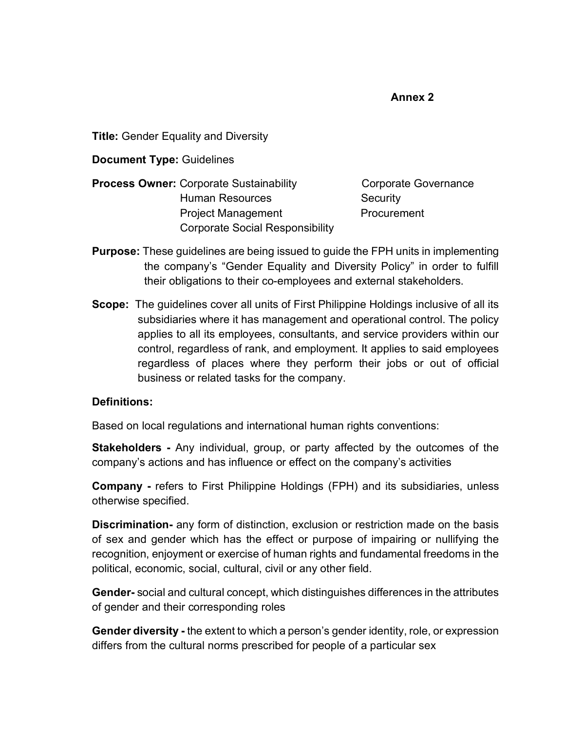#### **Annex 2**

**Title:** Gender Equality and Diversity

**Document Type:** Guidelines

**Process Owner:** Corporate Sustainability **Corporate Governance** Human Resources Security Project Management Procurement Corporate Social Responsibility

- **Purpose:** These guidelines are being issued to guide the FPH units in implementing the company's "Gender Equality and Diversity Policy" in order to fulfill their obligations to their co-employees and external stakeholders.
- **Scope:** The guidelines cover all units of First Philippine Holdings inclusive of all its subsidiaries where it has management and operational control. The policy applies to all its employees, consultants, and service providers within our control, regardless of rank, and employment. It applies to said employees regardless of places where they perform their jobs or out of official business or related tasks for the company.

#### **Definitions:**

Based on local regulations and international human rights conventions:

**Stakeholders -** Any individual, group, or party affected by the outcomes of the company's actions and has influence or effect on the company's activities

**Company -** refers to First Philippine Holdings (FPH) and its subsidiaries, unless otherwise specified.

**Discrimination-** any form of distinction, exclusion or restriction made on the basis of sex and gender which has the effect or purpose of impairing or nullifying the recognition, enjoyment or exercise of human rights and fundamental freedoms in the political, economic, social, cultural, civil or any other field.

**Gender-** social and cultural concept, which distinguishes differences in the attributes of gender and their corresponding roles

**Gender diversity -** the extent to which a person's gender identity, role, or expression differs from the cultural norms prescribed for people of a particular sex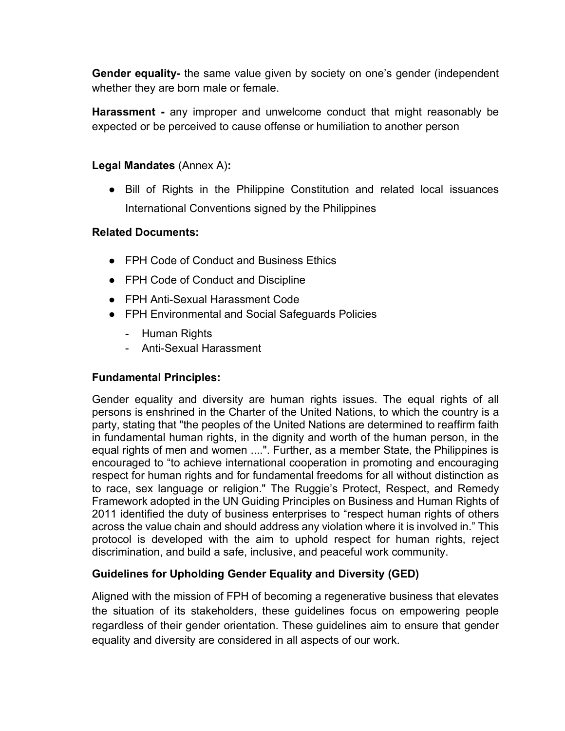**Gender equality-** the same value given by society on one's gender (independent whether they are born male or female.

**Harassment -** any improper and unwelcome conduct that might reasonably be expected or be perceived to cause offense or humiliation to another person

### **Legal Mandates** (Annex A)**:**

● Bill of Rights in the Philippine Constitution and related local issuances International Conventions signed by the Philippines

### **Related Documents:**

- FPH Code of Conduct and Business Ethics
- FPH Code of Conduct and Discipline
- FPH Anti-Sexual Harassment Code
- FPH Environmental and Social Safeguards Policies
	- Human Rights
	- Anti-Sexual Harassment

## **Fundamental Principles:**

Gender equality and diversity are human rights issues. The equal rights of all persons is enshrined in the Charter of the United Nations, to which the country is a party, stating that "the peoples of the United Nations are determined to reaffirm faith in fundamental human rights, in the dignity and worth of the human person, in the equal rights of men and women ....". Further, as a member State, the Philippines is encouraged to "to achieve international cooperation in promoting and encouraging respect for human rights and for fundamental freedoms for all without distinction as to race, sex language or religion." The Ruggie's Protect, Respect, and Remedy Framework adopted in the UN Guiding Principles on Business and Human Rights of 2011 identified the duty of business enterprises to "respect human rights of others across the value chain and should address any violation where it is involved in." This protocol is developed with the aim to uphold respect for human rights, reject discrimination, and build a safe, inclusive, and peaceful work community.

## **Guidelines for Upholding Gender Equality and Diversity (GED)**

Aligned with the mission of FPH of becoming a regenerative business that elevates the situation of its stakeholders, these guidelines focus on empowering people regardless of their gender orientation. These guidelines aim to ensure that gender equality and diversity are considered in all aspects of our work.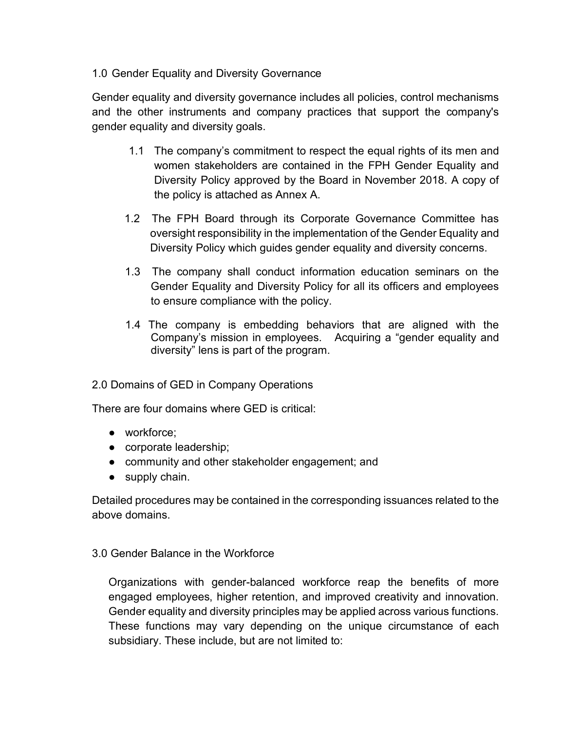### 1.0 Gender Equality and Diversity Governance

Gender equality and diversity governance includes all policies, control mechanisms and the other instruments and company practices that support the company's gender equality and diversity goals.

- 1.1 The company's commitment to respect the equal rights of its men and women stakeholders are contained in the FPH Gender Equality and Diversity Policy approved by the Board in November 2018. A copy of the policy is attached as Annex A.
- 1.2 The FPH Board through its Corporate Governance Committee has oversight responsibility in the implementation of the Gender Equality and Diversity Policy which guides gender equality and diversity concerns.
- 1.3 The company shall conduct information education seminars on the Gender Equality and Diversity Policy for all its officers and employees to ensure compliance with the policy.
- 1.4 The company is embedding behaviors that are aligned with the Company's mission in employees. Acquiring a "gender equality and diversity" lens is part of the program.

## 2.0 Domains of GED in Company Operations

There are four domains where GED is critical:

- workforce;
- corporate leadership;
- community and other stakeholder engagement; and
- supply chain.

Detailed procedures may be contained in the corresponding issuances related to the above domains.

#### 3.0 Gender Balance in the Workforce

Organizations with gender-balanced workforce reap the benefits of more engaged employees, higher retention, and improved creativity and innovation. Gender equality and diversity principles may be applied across various functions. These functions may vary depending on the unique circumstance of each subsidiary. These include, but are not limited to: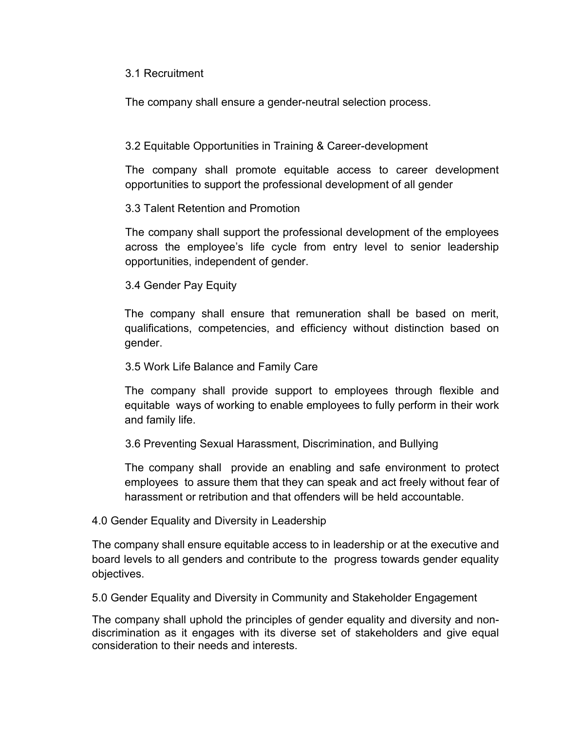#### 3.1 Recruitment

The company shall ensure a gender-neutral selection process.

## 3.2 Equitable Opportunities in Training & Career-development

The company shall promote equitable access to career development opportunities to support the professional development of all gender

### 3.3 Talent Retention and Promotion

The company shall support the professional development of the employees across the employee's life cycle from entry level to senior leadership opportunities, independent of gender.

### 3.4 Gender Pay Equity

The company shall ensure that remuneration shall be based on merit, qualifications, competencies, and efficiency without distinction based on gender.

#### 3.5 Work Life Balance and Family Care

The company shall provide support to employees through flexible and equitable ways of working to enable employees to fully perform in their work and family life.

## 3.6 Preventing Sexual Harassment, Discrimination, and Bullying

The company shall provide an enabling and safe environment to protect employees to assure them that they can speak and act freely without fear of harassment or retribution and that offenders will be held accountable.

#### 4.0 Gender Equality and Diversity in Leadership

The company shall ensure equitable access to in leadership or at the executive and board levels to all genders and contribute to the progress towards gender equality objectives.

5.0 Gender Equality and Diversity in Community and Stakeholder Engagement

The company shall uphold the principles of gender equality and diversity and nondiscrimination as it engages with its diverse set of stakeholders and give equal consideration to their needs and interests.